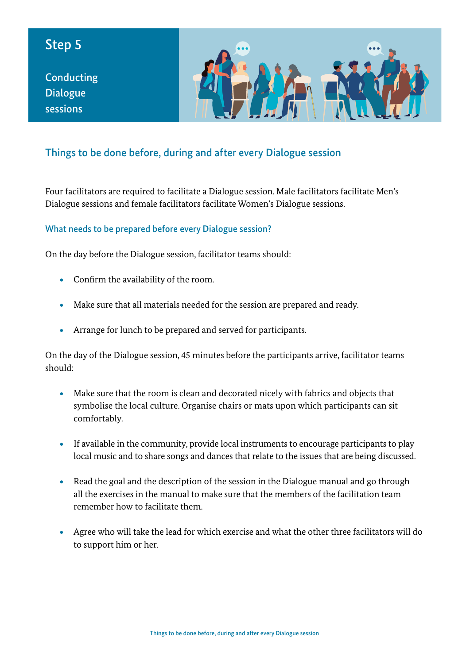# Step 5

**Conducting** Dialogue sessions



## Things to be done before, during and after every Dialogue session

Four facilitators are required to facilitate a Dialogue session. Male facilitators facilitate Men's Dialogue sessions and female facilitators facilitate Women's Dialogue sessions.

#### What needs to be prepared before every Dialogue session?

On the day before the Dialogue session, facilitator teams should:

- Confirm the availability of the room.
- Make sure that all materials needed for the session are prepared and ready.
- Arrange for lunch to be prepared and served for participants.

On the day of the Dialogue session, 45 minutes before the participants arrive, facilitator teams should:

- Make sure that the room is clean and decorated nicely with fabrics and objects that symbolise the local culture. Organise chairs or mats upon which participants can sit comfortably.
- If available in the community, provide local instruments to encourage participants to play local music and to share songs and dances that relate to the issues that are being discussed.
- Read the goal and the description of the session in the Dialogue manual and go through all the exercises in the manual to make sure that the members of the facilitation team remember how to facilitate them.
- Agree who will take the lead for which exercise and what the other three facilitators will do to support him or her.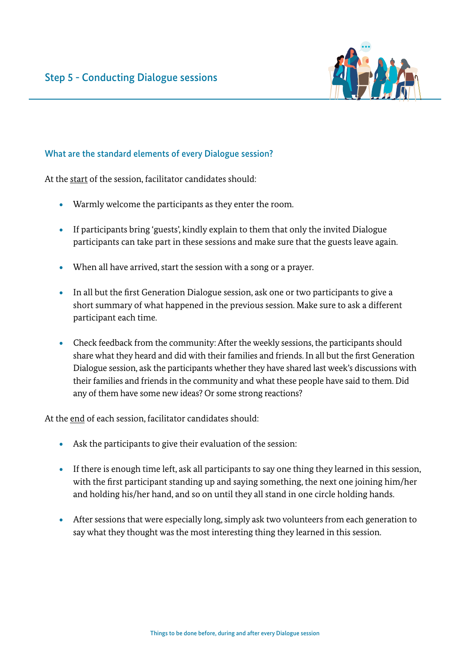

#### What are the standard elements of every Dialogue session?

At the start of the session, facilitator candidates should:

- Warmly welcome the participants as they enter the room.
- If participants bring 'guests', kindly explain to them that only the invited Dialogue participants can take part in these sessions and make sure that the guests leave again.
- When all have arrived, start the session with a song or a prayer.
- In all but the first Generation Dialogue session, ask one or two participants to give a short summary of what happened in the previous session. Make sure to ask a different participant each time.
- Check feedback from the community: After the weekly sessions, the participants should share what they heard and did with their families and friends. In all but the first Generation Dialogue session, ask the participants whether they have shared last week's discussions with their families and friends in the community and what these people have said to them. Did any of them have some new ideas? Or some strong reactions?

At the end of each session, facilitator candidates should:

- Ask the participants to give their evaluation of the session:
- If there is enough time left, ask all participants to say one thing they learned in this session, with the first participant standing up and saying something, the next one joining him/her and holding his/her hand, and so on until they all stand in one circle holding hands.
- After sessions that were especially long, simply ask two volunteers from each generation to say what they thought was the most interesting thing they learned in this session.